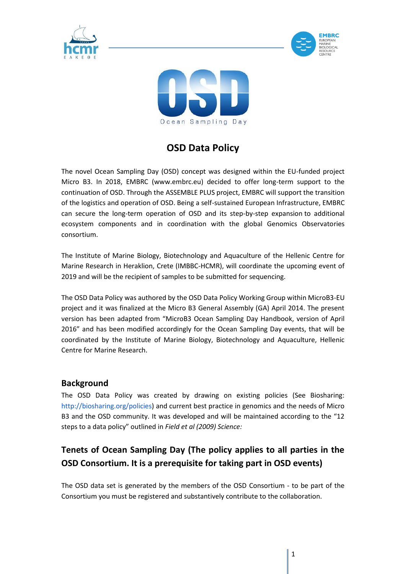





# **OSD Data Policy**

The novel Ocean Sampling Day (OSD) concept was designed within the EU-funded project Micro B3. In 2018, EMBRC (www.embrc.eu) decided to offer long-term support to the continuation of OSD. Through the ASSEMBLE PLUS project, EMBRC will support the transition of the logistics and operation of OSD. Being a self-sustained European Infrastructure, EMBRC can secure the long-term operation of OSD and its step-by-step expansion to additional ecosystem components and in coordination with the global Genomics Observatories consortium.

The Institute of Marine Biology, Biotechnology and Aquaculture of the Hellenic Centre for Marine Research in Heraklion, Crete (IMBBC-HCMR), will coordinate the upcoming event of 2019 and will be the recipient of samples to be submitted for sequencing.

The OSD Data Policy was authored by the OSD Data Policy Working Group within MicroB3-EU project and it was finalized at the Micro B3 General Assembly (GA) April 2014. The present version has been adapted from "MicroB3 Ocean Sampling Day Handbook, version of April 2016" and has been modified accordingly for the Ocean Sampling Day events, that will be coordinated by the Institute of Marine Biology, Biotechnology and Aquaculture, Hellenic Centre for Marine Research.

## **Background**

The OSD Data Policy was created by drawing on existing policies (See Biosharing: http://biosharing.org/policies) and current best practice in genomics and the needs of Micro B3 and the OSD community. It was developed and will be maintained according to the "12 steps to a data policy" outlined in *Field et al (2009) Science:*

## **Tenets of Ocean Sampling Day (The policy applies to all parties in the OSD Consortium. It is a prerequisite for taking part in OSD events)**

The OSD data set is generated by the members of the OSD Consortium - to be part of the Consortium you must be registered and substantively contribute to the collaboration.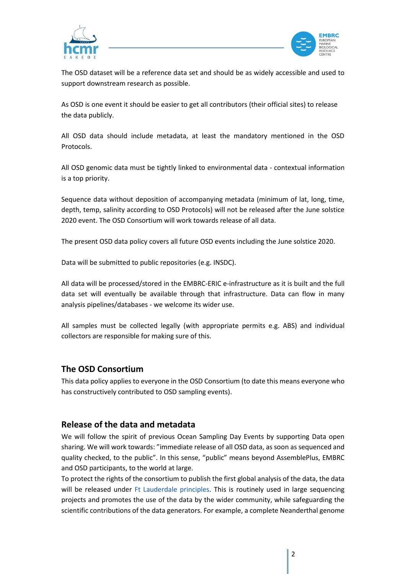



The OSD dataset will be a reference data set and should be as widely accessible and used to support downstream research as possible.

As OSD is one event it should be easier to get all contributors (their official sites) to release the data publicly.

All OSD data should include metadata, at least the mandatory mentioned in the OSD Protocols.

All OSD genomic data must be tightly linked to environmental data - contextual information is a top priority.

Sequence data without deposition of accompanying metadata (minimum of lat, long, time, depth, temp, salinity according to OSD Protocols) will not be released after the June solstice 2020 event. The OSD Consortium will work towards release of all data.

The present OSD data policy covers all future OSD events including the June solstice 2020.

Data will be submitted to public repositories (e.g. INSDC).

All data will be processed/stored in the EMBRC-ERIC e-infrastructure as it is built and the full data set will eventually be available through that infrastructure. Data can flow in many analysis pipelines/databases - we welcome its wider use.

All samples must be collected legally (with appropriate permits e.g. ABS) and individual collectors are responsible for making sure of this.

## **The OSD Consortium**

This data policy applies to everyone in the OSD Consortium (to date this means everyone who has constructively contributed to OSD sampling events).

#### **Release of the data and metadata**

We will follow the spirit of previous Ocean Sampling Day Events by supporting Data open sharing. We will work towards: "immediate release of all OSD data, as soon as sequenced and quality checked, to the public". In this sense, "public" means beyond AssemblePlus, EMBRC and OSD participants, to the world at large.

To protect the rights of the consortium to publish the first global analysis of the data, the data will be released under Ft Lauderdale principles. This is routinely used in large sequencing projects and promotes the use of the data by the wider community, while safeguarding the scientific contributions of the data generators. For example, a complete Neanderthal genome